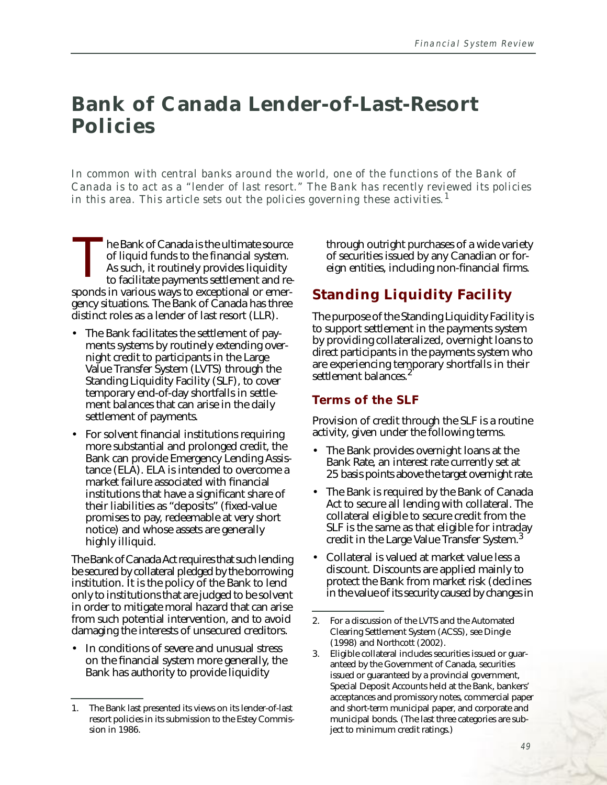# **Bank of Canada Lender-of-Last-Resort Policies**

*In common with central banks around the world, one of the functions of the Bank of Canada is to act as a "lender of last resort." The Bank has recently reviewed its policies in this area. This article sets out the policies governing these activities.<sup>1</sup>*

he Bank of Canada is the ultimate source of liquid funds to the financial system. As such, it routinely provides liquidity to facilitate payments settlement and responds in various ways to exceptional or emergency situations. The Bank of Canada has three distinct roles as a lender of last resort (LLR). The Bank of Canada is the ultimate source of liquid funds to the financial system.<br>
As such, it routinely provides liquidity to facilitate payments settlement and re-

- The Bank facilitates the settlement of payments systems by routinely extending overnight credit to participants in the Large Value Transfer System (LVTS) through the Standing Liquidity Facility (SLF), to cover temporary end-of-day shortfalls in settlement balances that can arise in the daily settlement of payments.
- For solvent financial institutions requiring more substantial and prolonged credit, the Bank can provide Emergency Lending Assistance (ELA). ELA is intended to overcome a market failure associated with financial institutions that have a significant share of their liabilities as "deposits" (fixed-value promises to pay, redeemable at very short notice) and whose assets are generally highly illiquid.

The Bank of Canada Act requires that such lending be secured by collateral pledged by the borrowing institution. It is the policy of the Bank to lend only to institutions that are judged to be solvent in order to mitigate moral hazard that can arise from such potential intervention, and to avoid damaging the interests of unsecured creditors.

• In conditions of severe and unusual stress on the financial system more generally, the Bank has authority to provide liquidity

of securities issued by any Canadian or foreign entities, including non-financial firms.

## **Standing Liquidity Facility**

The purpose of the Standing Liquidity Facility is to support settlement in the payments system by providing collateralized, overnight loans to direct participants in the payments system who are experiencing temporary shortfalls in their settlement balances.<sup>2</sup>

#### **Terms of the SLF**

Provision of credit through the SLF is a routine activity, given under the following terms.

- The Bank provides overnight loans at the Bank Rate, an interest rate currently set at 25 basis points above the target overnight rate.
- The Bank is required by the Bank of Canada Act to secure all lending with collateral. The collateral eligible to secure credit from the SLF is the same as that eligible for intraday credit in the Large Value Transfer System.<sup>3</sup>
- Collateral is valued at market value less a discount. Discounts are applied mainly to protect the Bank from market risk (declines in the value of its security caused by changes in

<sup>1.</sup> The Bank last presented its views on its lender-of-last resort policies in its submission to the Estey Commission in 1986.

<sup>2.</sup> For a discussion of the LVTS and the Automated Clearing Settlement System (ACSS), see Dingle (1998) and Northcott (2002).

<sup>3.</sup> Eligible collateral includes securities issued or guaranteed by the Government of Canada, securities issued or guaranteed by a provincial government, Special Deposit Accounts held at the Bank, bankers' acceptances and promissory notes, commercial paper and short-term municipal paper, and corporate and municipal bonds. (The last three categories are subject to minimum credit ratings.)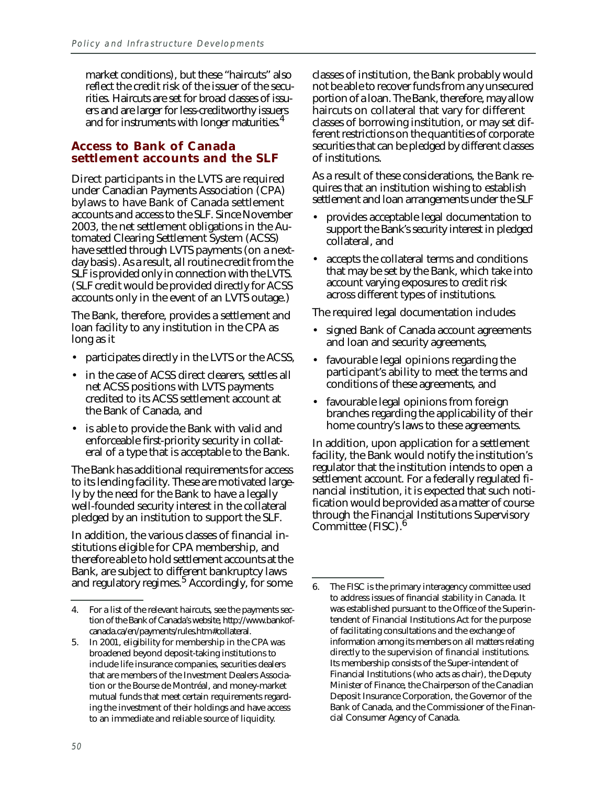market conditions), but these "haircuts" also reflect the credit risk of the issuer of the securities. Haircuts are set for broad classes of issuers and are larger for less-creditworthy issuers and for instruments with longer maturities.<sup>4</sup>

#### **Access to Bank of Canada settlement accounts and the SLF**

Direct participants in the LVTS are required under Canadian Payments Association (CPA) bylaws to have Bank of Canada settlement accounts and access to the SLF. Since November 2003, the net settlement obligations in the Automated Clearing Settlement System (ACSS) have settled through LVTS payments (on a nextday basis). As a result, all routine credit from the SLF is provided only in connection with the LVTS. (SLF credit would be provided directly for ACSS accounts only in the event of an LVTS outage.)

The Bank, therefore, provides a settlement and loan facility to any institution in the CPA as long as it

- participates directly in the LVTS or the ACSS,
- in the case of ACSS direct clearers, settles all net ACSS positions with LVTS payments credited to its ACSS settlement account at the Bank of Canada, and
- is able to provide the Bank with valid and enforceable first-priority security in collateral of a type that is acceptable to the Bank.

The Bank has additional requirements for access to its lending facility. These are motivated largely by the need for the Bank to have a legally well-founded security interest in the collateral pledged by an institution to support the SLF.

In addition, the various classes of financial institutions eligible for CPA membership, and therefore able to hold settlement accounts at the Bank, are subject to different bankruptcy laws and regulatory regimes.<sup>5</sup> Accordingly, for some

classes of institution, the Bank probably would not be able to recover funds from any unsecured portion of a loan. The Bank, therefore, may allow haircuts on collateral that vary for different classes of borrowing institution, or may set different restrictions on the quantities of corporate securities that can be pledged by different classes of institutions.

As a result of these considerations, the Bank requires that an institution wishing to establish settlement and loan arrangements under the SLF

- provides acceptable legal documentation to support the Bank's security interest in pledged collateral, and
- accepts the collateral terms and conditions that may be set by the Bank, which take into account varying exposures to credit risk across different types of institutions.

The required legal documentation includes

- signed Bank of Canada account agreements and loan and security agreements,
- favourable legal opinions regarding the participant's ability to meet the terms and conditions of these agreements, and
- favourable legal opinions from foreign branches regarding the applicability of their home country's laws to these agreements.

In addition, upon application for a settlement facility, the Bank would notify the institution's regulator that the institution intends to open a settlement account. For a federally regulated financial institution, it is expected that such notification would be provided as a matter of course through the Financial Institutions Supervisory Committee (FISC).<sup>6</sup>

<sup>4.</sup> For a list of the relevant haircuts, see the payments section of the Bank of Canada's website, http://www.bankofcanada.ca/en/payments/rules.htm#collateral.

<sup>5.</sup> In 2001, eligibility for membership in the CPA was broadened beyond deposit-taking institutions to include life insurance companies, securities dealers that are members of the Investment Dealers Association or the Bourse de Montréal, and money-market mutual funds that meet certain requirements regarding the investment of their holdings and have access to an immediate and reliable source of liquidity.

<sup>6.</sup> The FISC is the primary interagency committee used to address issues of financial stability in Canada. It was established pursuant to the Office of the Superintendent of Financial Institutions Act for the purpose of facilitating consultations and the exchange of information among its members on all matters relating directly to the supervision of financial institutions. Its membership consists of the Super-intendent of Financial Institutions (who acts as chair), the Deputy Minister of Finance, the Chairperson of the Canadian Deposit Insurance Corporation, the Governor of the Bank of Canada, and the Commissioner of the Financial Consumer Agency of Canada.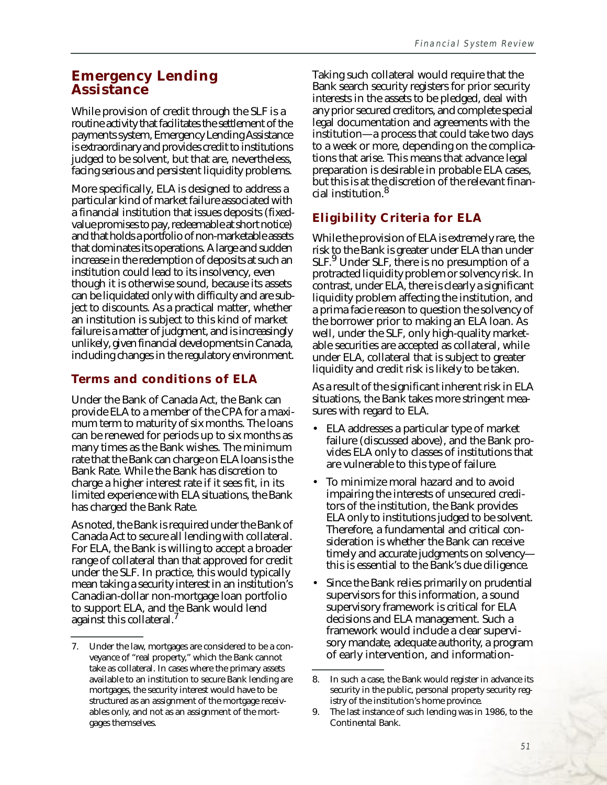## **Emergency Lending Assistance**

While provision of credit through the SLF is a routine activity that facilitates the settlement of the payments system, Emergency Lending Assistance is extraordinary and provides credit to institutions judged to be solvent, but that are, nevertheless, facing serious and persistent liquidity problems.

More specifically, ELA is designed to address a particular kind of market failure associated with a financial institution that issues deposits (fixedvalue promises to pay, redeemable at short notice) and that holds a portfolio of non-marketable assets that dominates its operations. A large and sudden increase in the redemption of deposits at such an institution could lead to its insolvency, even though it is otherwise sound, because its assets can be liquidated only with difficulty and are subject to discounts. As a practical matter, whether an institution is subject to this kind of market failure is a matter of judgment, and is increasingly unlikely, given financial developments in Canada, including changes in the regulatory environment.

#### **Terms and conditions of ELA**

Under the Bank of Canada Act, the Bank can provide ELA to a member of the CPA for a maximum term to maturity of six months. The loans can be renewed for periods up to six months as many times as the Bank wishes. The minimum rate that the Bank can charge on ELA loans is the Bank Rate. While the Bank has discretion to charge a higher interest rate if it sees fit, in its limited experience with ELA situations, the Bank has charged the Bank Rate.

As noted, the Bank is required under the Bank of Canada Act to secure all lending with collateral. For ELA, the Bank is willing to accept a broader range of collateral than that approved for credit under the SLF. In practice, this would typically mean taking a security interest in an institution's Canadian-dollar non-mortgage loan portfolio to support ELA, and the Bank would lend against this collateral.

Taking such collateral would require that the Bank search security registers for prior security interests in the assets to be pledged, deal with any prior secured creditors, and complete special legal documentation and agreements with the institution—a process that could take two days to a week or more, depending on the complications that arise. This means that advance legal preparation is desirable in probable ELA cases, but this is at the discretion of the relevant financial institution.<sup>8</sup>

## **Eligibility Criteria for ELA**

While the provision of ELA is extremely rare, the risk to the Bank is greater under ELA than under SLF.9 Under SLF, there is no presumption of a protracted liquidity problem or solvency risk. In contrast, under ELA, there is clearly a significant liquidity problem affecting the institution, and a prima facie reason to question the solvency of the borrower prior to making an ELA loan. As well, under the SLF, only high-quality marketable securities are accepted as collateral, while under ELA, collateral that is subject to greater liquidity and credit risk is likely to be taken.

As a result of the significant inherent risk in ELA situations, the Bank takes more stringent measures with regard to ELA.

- ELA addresses a particular type of market failure (discussed above), and the Bank provides ELA only to classes of institutions that are vulnerable to this type of failure.
- To minimize moral hazard and to avoid impairing the interests of unsecured creditors of the institution, the Bank provides ELA only to institutions judged to be solvent. Therefore, a fundamental and critical consideration is whether the Bank can receive timely and accurate judgments on solvency this is essential to the Bank's due diligence.
- Since the Bank relies primarily on prudential supervisors for this information, a sound supervisory framework is critical for ELA decisions and ELA management. Such a framework would include a clear supervisory mandate, adequate authority, a program of early intervention, and information-

<sup>7.</sup> Under the law, mortgages are considered to be a conveyance of "real property," which the Bank cannot take as collateral. In cases where the primary assets available to an institution to secure Bank lending are mortgages, the security interest would have to be structured as an assignment of the mortgage receivables only, and not as an assignment of the mortgages themselves.

<sup>8.</sup> In such a case, the Bank would register in advance its security in the public, personal property security registry of the institution's home province.

<sup>9.</sup> The last instance of such lending was in 1986, to the Continental Bank.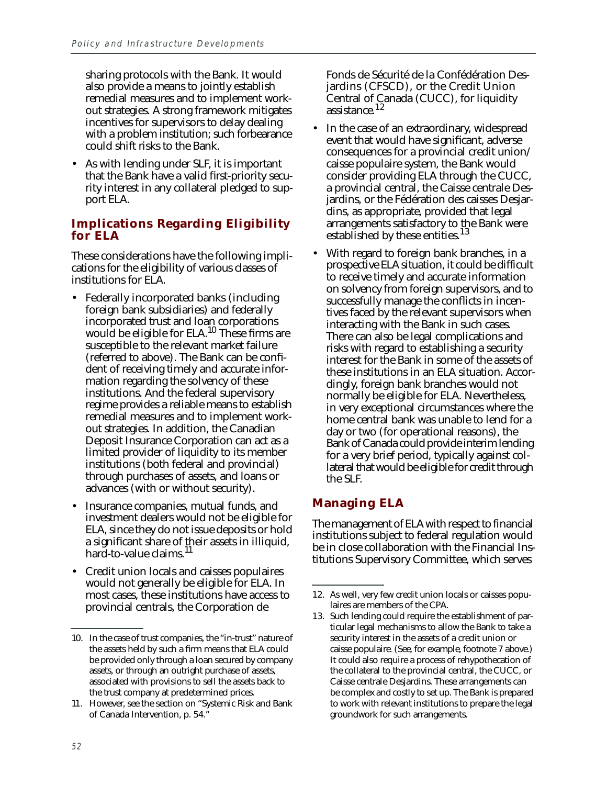sharing protocols with the Bank. It would also provide a means to jointly establish remedial measures and to implement workout strategies. A strong framework mitigates incentives for supervisors to delay dealing with a problem institution; such forbearance could shift risks to the Bank.

• As with lending under SLF, it is important that the Bank have a valid first-priority security interest in any collateral pledged to support ELA.

#### **Implications Regarding Eligibility for ELA**

These considerations have the following implications for the eligibility of various classes of institutions for ELA.

- Federally incorporated banks (including foreign bank subsidiaries) and federally incorporated trust and loan corporations would be eligible for  $ELA$ .<sup>10</sup> These firms are susceptible to the relevant market failure (referred to above). The Bank can be confident of receiving timely and accurate information regarding the solvency of these institutions. And the federal supervisory regime provides a reliable means to establish remedial measures and to implement workout strategies. In addition, the Canadian Deposit Insurance Corporation can act as a limited provider of liquidity to its member institutions (both federal and provincial) through purchases of assets, and loans or advances (with or without security).
- Insurance companies, mutual funds, and investment dealers would not be eligible for ELA, since they do not issue deposits or hold a significant share of their assets in illiquid, hard-to-value claims.<sup>11</sup>
- Credit union locals and caisses populaires would not generally be eligible for ELA. In most cases, these institutions have access to provincial centrals, the Corporation de

Fonds de Sécurité de la Confédération Desjardins (CFSCD), or the Credit Union Central of Canada (CUCC), for liquidity assistance.<sup>12</sup>

- In the case of an extraordinary, widespread event that would have significant, adverse consequences for a provincial credit union/ caisse populaire system, the Bank would consider providing ELA through the CUCC, a provincial central, the Caisse centrale Desjardins, or the Fédération des caisses Desjardins, as appropriate, provided that legal arrangements satisfactory to the Bank were established by these entities.<sup>13</sup>
- With regard to foreign bank branches, in a prospective ELA situation, it could be difficult to receive timely and accurate information on solvency from foreign supervisors, and to successfully manage the conflicts in incentives faced by the relevant supervisors when interacting with the Bank in such cases. There can also be legal complications and risks with regard to establishing a security interest for the Bank in some of the assets of these institutions in an ELA situation. Accordingly, foreign bank branches would not normally be eligible for ELA. Nevertheless, in very exceptional circumstances where the home central bank was unable to lend for a day or two (for operational reasons), the Bank of Canada could provide interim lending for a very brief period, typically against collateral that would be eligible for credit through the SLF.

## **Managing ELA**

The management of ELA with respect to financial institutions subject to federal regulation would be in close collaboration with the Financial Institutions Supervisory Committee, which serves

<sup>10.</sup> In the case of trust companies, the "in-trust" nature of the assets held by such a firm means that ELA could be provided only through a loan secured by company assets, or through an outright purchase of assets, associated with provisions to sell the assets back to the trust company at predetermined prices.

<sup>11.</sup> However, see the section on "Systemic Risk and Bank of Canada Intervention, p. 54."

<sup>12.</sup> As well, very few credit union locals or caisses populaires are members of the CPA.

<sup>13.</sup> Such lending could require the establishment of particular legal mechanisms to allow the Bank to take a security interest in the assets of a credit union or caisse populaire. (See, for example, footnote 7 above.) It could also require a process of rehypothecation of the collateral to the provincial central, the CUCC, or Caisse centrale Desjardins. These arrangements can be complex and costly to set up. The Bank is prepared to work with relevant institutions to prepare the legal groundwork for such arrangements.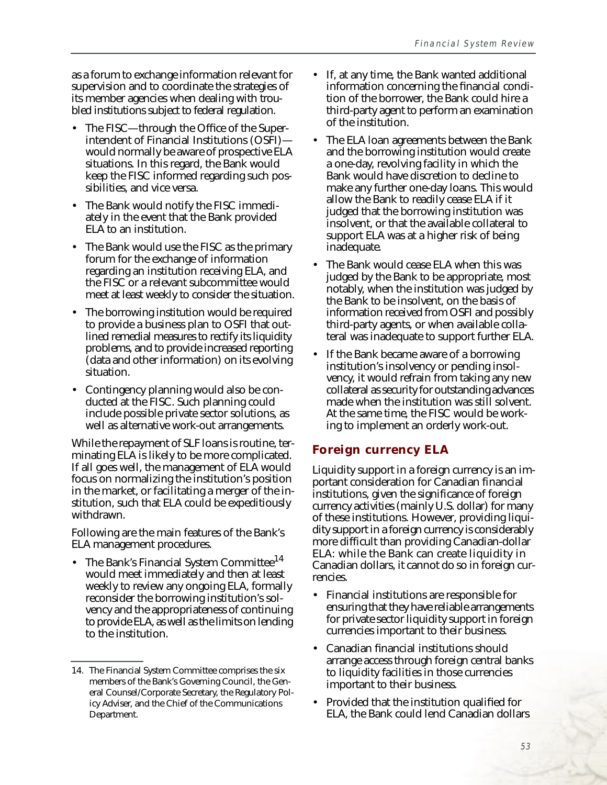as a forum to exchange information relevant for supervision and to coordinate the strategies of its member agencies when dealing with troubled institutions subject to federal regulation.

- The FISC—through the Office of the Superintendent of Financial Institutions (OSFI) would normally be aware of prospective ELA situations. In this regard, the Bank would keep the FISC informed regarding such possibilities, and vice versa.
- The Bank would notify the FISC immediately in the event that the Bank provided ELA to an institution.
- The Bank would use the FISC as the primary forum for the exchange of information regarding an institution receiving ELA, and the FISC or a relevant subcommittee would meet at least weekly to consider the situation.
- The borrowing institution would be required to provide a business plan to OSFI that outlined remedial measures to rectify its liquidity problems, and to provide increased reporting (data and other information) on its evolving situation.
- Contingency planning would also be conducted at the FISC. Such planning could include possible private sector solutions, as well as alternative work-out arrangements.

While the repayment of SLF loans is routine, terminating ELA is likely to be more complicated. If all goes well, the management of ELA would focus on normalizing the institution's position in the market, or facilitating a merger of the institution, such that ELA could be expeditiously withdrawn.

Following are the main features of the Bank's ELA management procedures.

The Bank's Financial System Committee<sup>14</sup> would meet immediately and then at least weekly to review any ongoing ELA, formally reconsider the borrowing institution's solvency and the appropriateness of continuing to provide ELA, as well as the limits on lending to the institution.

- If, at any time, the Bank wanted additional information concerning the financial condition of the borrower, the Bank could hire a third-party agent to perform an examination of the institution.
- The ELA loan agreements between the Bank and the borrowing institution would create a one-day, revolving facility in which the Bank would have discretion to decline to make any further one-day loans. This would allow the Bank to readily cease ELA if it judged that the borrowing institution was insolvent, or that the available collateral to support ELA was at a higher risk of being inadequate.
- The Bank would cease ELA when this was judged by the Bank to be appropriate, most notably, when the institution was judged by the Bank to be insolvent, on the basis of information received from OSFI and possibly third-party agents, or when available collateral was inadequate to support further ELA.
- If the Bank became aware of a borrowing institution's insolvency or pending insolvency, it would refrain from taking any new collateral as security for outstanding advances made when the institution was still solvent. At the same time, the FISC would be working to implement an orderly work-out.

#### **Foreign currency ELA**

Liquidity support in a foreign currency is an important consideration for Canadian financial institutions, given the significance of foreign currency activities (mainly U.S. dollar) for many of these institutions. However, providing liquidity support in a foreign currency is considerably more difficult than providing Canadian-dollar ELA: while the Bank can create liquidity in Canadian dollars, it cannot do so in foreign currencies.

- Financial institutions are responsible for ensuring that they have reliable arrangements for private sector liquidity support in foreign currencies important to their business.
- Canadian financial institutions should arrange access through foreign central banks to liquidity facilities in those currencies important to their business.
- Provided that the institution qualified for ELA, the Bank could lend Canadian dollars

<sup>14.</sup> The Financial System Committee comprises the six members of the Bank's Governing Council, the General Counsel/Corporate Secretary, the Regulatory Policy Adviser, and the Chief of the Communications Department.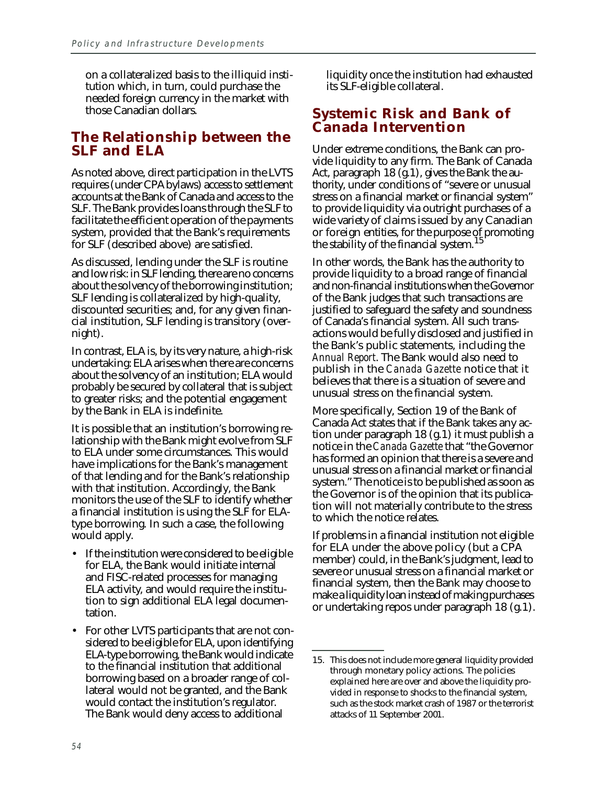on a collateralized basis to the illiquid institution which, in turn, could purchase the needed foreign currency in the market with those Canadian dollars.

## **The Relationship between the SLF and ELA**

As noted above, direct participation in the LVTS requires (under CPA bylaws) access to settlement accounts at the Bank of Canada and access to the SLF. The Bank provides loans through the SLF to facilitate the efficient operation of the payments system, provided that the Bank's requirements for SLF (described above) are satisfied.

As discussed, lending under the SLF is routine and low risk: in SLF lending, there are no concerns about the solvency of the borrowing institution; SLF lending is collateralized by high-quality, discounted securities; and, for any given financial institution, SLF lending is transitory (overnight).

In contrast, ELA is, by its very nature, a high-risk undertaking: ELA arises when there are concerns about the solvency of an institution; ELA would probably be secured by collateral that is subject to greater risks; and the potential engagement by the Bank in ELA is indefinite.

It is possible that an institution's borrowing relationship with the Bank might evolve from SLF to ELA under some circumstances. This would have implications for the Bank's management of that lending and for the Bank's relationship with that institution. Accordingly, the Bank monitors the use of the SLF to identify whether a financial institution is using the SLF for ELAtype borrowing. In such a case, the following would apply.

- If the institution were considered to be eligible for ELA, the Bank would initiate internal and FISC-related processes for managing ELA activity, and would require the institution to sign additional ELA legal documentation.
- For other LVTS participants that are not considered to be eligible for ELA, upon identifying ELA-type borrowing, the Bank would indicate to the financial institution that additional borrowing based on a broader range of collateral would not be granted, and the Bank would contact the institution's regulator. The Bank would deny access to additional

liquidity once the institution had exhausted its SLF-eligible collateral.

## **Systemic Risk and Bank of Canada Intervention**

Under extreme conditions, the Bank can provide liquidity to any firm. The Bank of Canada Act, paragraph 18 (g.1), gives the Bank the authority, under conditions of "severe or unusual stress on a financial market or financial system" to provide liquidity via outright purchases of a wide variety of claims issued by any Canadian or foreign entities, for the purpose of promoting the stability of the financial system.<sup>15</sup>

In other words, the Bank has the authority to provide liquidity to a broad range of financial and non-financial institutions when the Governor of the Bank judges that such transactions are justified to safeguard the safety and soundness of Canada's financial system. All such transactions would be fully disclosed and justified in the Bank's public statements, including the *Annual Report*. The Bank would also need to publish in the *Canada Gazette* notice that it believes that there is a situation of severe and unusual stress on the financial system.

More specifically, Section 19 of the Bank of Canada Act states that if the Bank takes any action under paragraph 18 (g.1) it must publish a notice in the *Canada Gazette* that "the Governor has formed an opinion that there is a severe and unusual stress on a financial market or financial system." The notice is to be published as soon as the Governor is of the opinion that its publication will not materially contribute to the stress to which the notice relates.

If problems in a financial institution not eligible for ELA under the above policy (but a CPA member) could, in the Bank's judgment, lead to severe or unusual stress on a financial market or financial system, then the Bank may choose to make a liquidity loan instead of making purchases or undertaking repos under paragraph 18 (g.1).

<sup>15.</sup> This does not include more general liquidity provided through monetary policy actions. The policies explained here are over and above the liquidity provided in response to shocks to the financial system, such as the stock market crash of 1987 or the terrorist attacks of 11 September 2001.